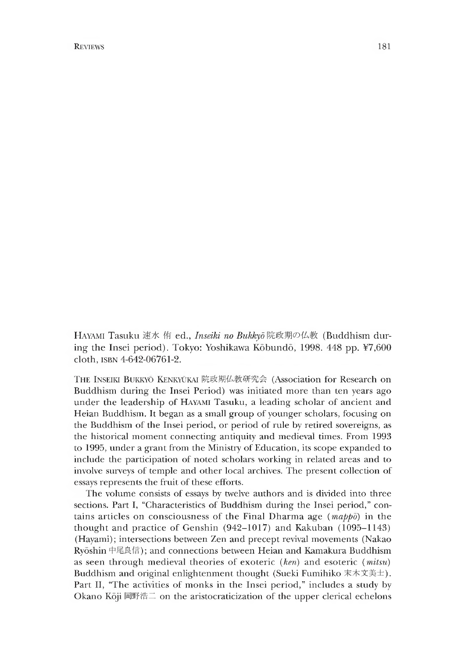R EVIEWS **181** 

HAYAMI Tasuku 速水 侑 ed., *Inseiki no Bukkyō* 院政期の仏教 (Buddhism during the Insei period). Tokyo: Yoshikawa Kōbundō, 1998. 448 pp. ¥7,600 cloth, isbn 4-642-06761-2.

THE INSEIKI BUKKYŌ KENKYŪKAI 院政期仏教研究会 (Association for Research on Buddnism during the Insei Period) was initiated more than ten years ago under the leadership of Hayami Tasuku, a leading scholar of ancient and Heian Buddhism. It began as a small group of younger scholars, focusing on the Buddhism of the Insei period, or period of rule by retired sovereigns, as the historical moment connecting antiquity and medieval times. From 1993 to 1995, under a grant from the Ministry of Education, its scope expanded to include the participation of noted scholars working in related areas and to involve surveys of temple and other local archives. The present collection of essays represents the fruit of these efforts.

The volume consists of essays by twelve authors and is divided into three sections. Part I, "Characteristics of Buddhism during the Insei period," contains articles on consciousness of the Final Dharma age (*mappo)* in the thought and practice of Genshin (942-1017) and Kakuban (1095—1143) (Hayami); intersections between Zen and precept revival movements (Nakao Ryōshin 中尾良信); and connections between Heian and Kamakura Buddhism as seen through medieval theories of exoteric *(ken)* and esoteric *(mitsu)* Buddhism and original enlightenment thought (Sueki Fumihiko 末木文美士). Part II, "The activities of monks in the Insei period," includes a study by Okano Koji 岡野浩二 on the aristocraticization of the upper clerical echelons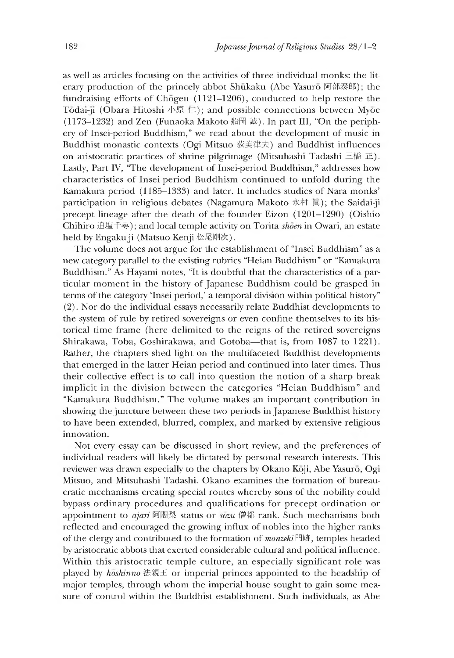as well as articles focusing on the activities of three individual monks: the literary production of the princely abbot Shukaku (Abe Yasuro 阿部泰郎); the fundraising efforts of Chogen (1121-1206), conducted to help restore the Tōdai-ji (Obara Hitoshi 小原 仁); and possible connections between Myōe (1173-1232) and Zen (Funaoka Makoto 船岡誠). In part III,"On the periphery of Insei-period Buddhism," we read about the development of music in Buddhist monastic contexts (Ogi Mitsuo 荻美津夫) and Buddhist influences on aristocratic practices of shrine pilgrimage (Mitsuhashi Tadashi 三橋正). Lastly, Part IV, "The development of Insei-period Buddhism," addresses how characteristics of Insei-period Buddhism continued to unfold during the Kamakura period (1185–1333) and later. It includes studies of Nara monks' participation in religious debates (Nagamura Makoto 永村 眞); the Saidai-ji precept lineage after the death of the founder Eizon (1201-1290) (Oismo Chihiro 追塩千尋);and local temple activity on Torita *shoen* in Owari, an estate held by Engaku-ji (Matsuo Kenji 松尾剛次).

The volume does not argue for the establishment of "Insei Buddhism" as a new category parallel to the existing rubrics "Heian Buddhism" or "Kamakura Buddhism." As Hayami notes, "It is doubtful that the characteristics of a particular moment in the history of Japanese Buddhism could be grasped in terms of the category 'Insei period,' a temporal division within political history" (2). Nor do the individual essays necessarily relate Buddnist developments to the system of rule by retired sovereigns or even confine themselves to its historical time frame (here delimited to the reigns of the retired sovereigns Shirakawa, Toba, Goshirakawa, and Gotoba— that is, from 1087 to 1221). Rather, the chapters shed light on the multifaceted Buddhist developments that emerged in the latter Heian period and continued into later times. Thus their collective effect is to call into question the notion of a sharp break implicit in the division between the categories "Heian Buddhism" and "Kamakura Buddhism." The volume makes an important contribution in showing the juncture between these two periods in Japanese Buddhist history to have been extended, blurred, complex, and marked by extensive religious innovation.

Not every essay can be discussed in short review, and the preferences of individual readers will likely be dictated by personal research interests. This reviewer was drawn especially to the chapters by Okano Koji, Abe Yasuro, Ogi Mitsuo, and Mitsuhashi Tadashi. Okano examines the formation of bureaucratic mechanisms creating special routes whereby sons of the nobility could bypass ordinary procedures and qualifications for precept ordination or appointment to *ajari* 阿闍梨 status or *sozu* 僧都 rank. Such mechanisms both reflected and encouraged the growing influx of nobles into the higher ranks of the clergy and contributed to the formation of *monzeki* 門跡, temples headed by aristocratic abbots that exerted considerable cultural and political influence. Within this aristocratic temple culture, an especially significant role was played by *hoshinno* 法親王 or imperial princes appointed to the headship of major temples, through whom the imperial house sought to gain some measure of control within the Buddhist establishment. Such individuals, as Abe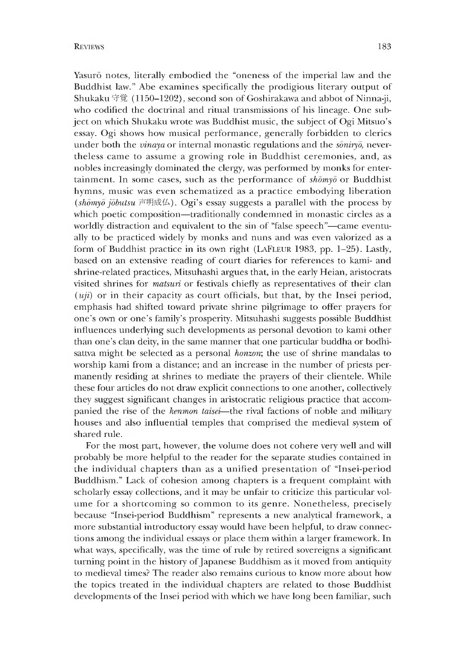Yasurō notes, literally embodied the "oneness of the imperial law and the Buddhist law." Abe examines specifically the prodigious literary output of Shukaku 守覚 (1150-1202), second son of Goshirakawa and abbot of Ninna-ji, who codified the doctrinal and ritual transmissions of his lineage. One subject on which Shukaku wrote was Buddhist music, the subject of Ogi Mitsuo's essay. Ogi shows how musical performance, generally forbidden to clerics under both the *vinaya* or internal monastic regulations and the *soniryo,* nevertheless came to assume a growing role in Buddhist ceremonies, and, as nobles increasingly dominated the clergy, was performed by monks for entertainment. In some cases, such as the performance of *shomyo* or Buddhist hymns, music was even schematized as a practice embodying liberation *{shomyo jobutsu* 声明成仏). Ogi's essay suggests a parallel with the process by which poetic composition—traditionally condemned in monastic circles as a worldly distraction and equivalent to the sin of "false speech"—came eventually to be practiced widely by monks and nuns and was even valorized as a form of Buddhist practice in its own right (LAFLEUR 1983, pp. 1–25). Lastly, based on an extensive reading of court diaries for references to kami- and shrine-related practices, Mitsuhashi argues that, in the early Heian, aristocrats visited shrines for *matsuri* or festivals chiefly as representatives of their clan (*uji)* or in their capacity as court officials, but that, by the Insei period, emphasis had shifted toward private shrine pilgrimage to offer prayers for one's own or one's family's prosperity. Mitsuhashi suggests possible Buddhist influences underlying such developments as personal devotion to kami other than one's clan deity, in the same manner that one particular buddha or bodnisattva might be selected as a personal *honzon*; the use of shrine mandalas to worship kami from a distance; and an increase in the number of priests permanently residing at shrines to mediate the prayers of their clientele. While these four articles do not draw explicit connections to one another, collectively they suggest significant changes in aristocratic religious practice that accompanied the rise of the *kenmon taisei*—the rival factions of noble and military houses and also influential temples that comprised the medieval system of shared rule.

For the most part, however, the volume does not cohere very well and will probably be more helpful to the reader for the separate studies contained m the individual chapters than as a unified presentation of "Insei-period Buddhism." Lack of cohesion among chapters is a frequent complaint with scholarly essay collections, and it may be unfair to criticize this particular volume for a shortcoming so common to its genre. Nonetheless, precisely because "Insei-period Buddhism" represents a new analytical framework, a more substantial introductory essay would have been helpful, to draw connections among the individual essays or place them within a larger framework. In what ways, specifically, was the time of rule by retired sovereigns a significant turning point in the nistory of Japanese Buddhism as it moved from antiquity to medieval times? The reader also remains curious to know more about how the topics treated in the individual chapters are related to those Buddnist developments of the Insei period with which we have long been familiar, such